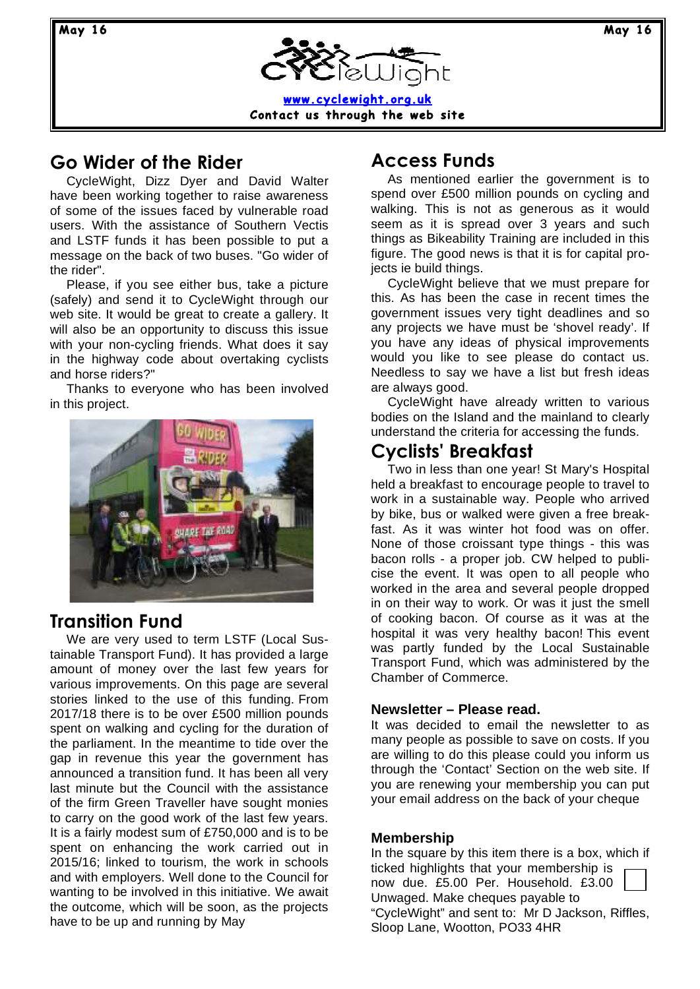**May 16 May 16**

**www.cyclewight.org.uk Contact us through the web site**

## **Go Wider of the Rider**

CycleWight, Dizz Dyer and David Walter have been working together to raise awareness of some of the issues faced by vulnerable road users. With the assistance of Southern Vectis and LSTF funds it has been possible to put a message on the back of two buses. "Go wider of the rider".

Please, if you see either bus, take a picture (safely) and send it to CycleWight through our web site. It would be great to create a gallery. It will also be an opportunity to discuss this issue with your non-cycling friends. What does it say in the highway code about overtaking cyclists and horse riders?"

Thanks to everyone who has been involved in this project.



### **Transition Fund**

We are very used to term LSTF (Local Sustainable Transport Fund). It has provided a large amount of money over the last few years for various improvements. On this page are several stories linked to the use of this funding. From 2017/18 there is to be over £500 million pounds spent on walking and cycling for the duration of the parliament. In the meantime to tide over the gap in revenue this year the government has announced a transition fund. It has been all very last minute but the Council with the assistance of the firm Green Traveller have sought monies to carry on the good work of the last few years. It is a fairly modest sum of £750,000 and is to be spent on enhancing the work carried out in 2015/16; linked to tourism, the work in schools and with employers. Well done to the Council for wanting to be involved in this initiative. We await the outcome, which will be soon, as the projects have to be up and running by May

# **Access Funds**

As mentioned earlier the government is to spend over £500 million pounds on cycling and walking. This is not as generous as it would seem as it is spread over 3 years and such things as Bikeability Training are included in this figure. The good news is that it is for capital projects ie build things.

CycleWight believe that we must prepare for this. As has been the case in recent times the government issues very tight deadlines and so any projects we have must be 'shovel ready'. If you have any ideas of physical improvements would you like to see please do contact us. Needless to say we have a list but fresh ideas are always good.

CycleWight have already written to various bodies on the Island and the mainland to clearly understand the criteria for accessing the funds.

## **Cyclists' Breakfast**

Two in less than one year! St Mary's Hospital held a breakfast to encourage people to travel to work in a sustainable way. People who arrived by bike, bus or walked were given a free breakfast. As it was winter hot food was on offer. None of those croissant type things - this was bacon rolls - a proper job. CW helped to publicise the event. It was open to all people who worked in the area and several people dropped in on their way to work. Or was it just the smell of cooking bacon. Of course as it was at the hospital it was very healthy bacon! This event was partly funded by the Local Sustainable Transport Fund, which was administered by the Chamber of Commerce.

### **Newsletter – Please read.**

It was decided to email the newsletter to as many people as possible to save on costs. If you are willing to do this please could you inform us through the 'Contact' Section on the web site. If you are renewing your membership you can put your email address on the back of your cheque

### **Membership**

In the square by this item there is a box, which if ticked highlights that your membership is now due. £5.00 Per. Household. £3.00 Unwaged. Make cheques payable to "CycleWight" and sent to: Mr D Jackson, Riffles, Sloop Lane, Wootton, PO33 4HR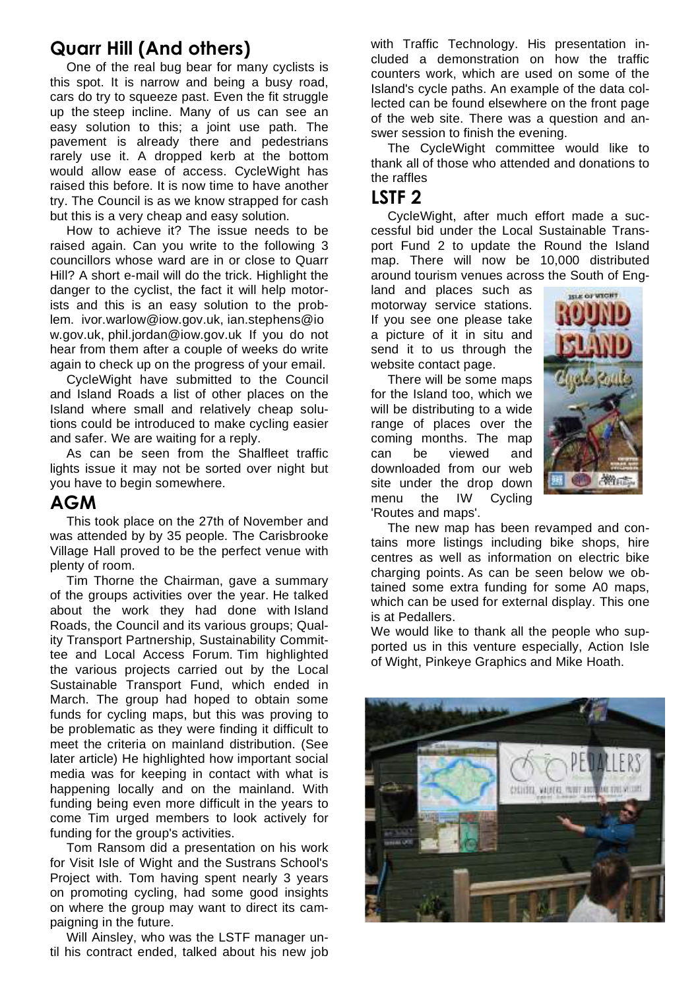# **Quarr Hill (And others)**

One of the real bug bear for many cyclists is this spot. It is narrow and being a busy road, cars do try to squeeze past. Even the fit struggle up the steep incline. Many of us can see an easy solution to this; a joint use path. The pavement is already there and pedestrians rarely use it. A dropped kerb at the bottom would allow ease of access. CycleWight has raised this before. It is now time to have another try. The Council is as we know strapped for cash but this is a very cheap and easy solution.

How to achieve it? The issue needs to be raised again. Can you write to the following 3 councillors whose ward are in or close to Quarr Hill? A short e-mail will do the trick. Highlight the danger to the cyclist, the fact it will help motorists and this is an easy solution to the problem. ivor.warlow@iow.gov.uk, ian.stephens@io w.gov.uk, phil.jordan@iow.gov.uk If you do not hear from them after a couple of weeks do write again to check up on the progress of your email.

CycleWight have submitted to the Council and Island Roads a list of other places on the Island where small and relatively cheap solutions could be introduced to make cycling easier and safer. We are waiting for a reply.

As can be seen from the Shalfleet traffic lights issue it may not be sorted over night but you have to begin somewhere.

### **AGM**

This took place on the 27th of November and was attended by by 35 people. The Carisbrooke Village Hall proved to be the perfect venue with plenty of room.

Tim Thorne the Chairman, gave a summary of the groups activities over the year. He talked about the work they had done with Island Roads, the Council and its various groups; Quality Transport Partnership, Sustainability Committee and Local Access Forum. Tim highlighted the various projects carried out by the Local Sustainable Transport Fund, which ended in March. The group had hoped to obtain some funds for cycling maps, but this was proving to be problematic as they were finding it difficult to meet the criteria on mainland distribution. (See later article) He highlighted how important social media was for keeping in contact with what is happening locally and on the mainland. With funding being even more difficult in the years to come Tim urged members to look actively for funding for the group's activities.

Tom Ransom did a presentation on his work for Visit Isle of Wight and the Sustrans School's Project with. Tom having spent nearly 3 years on promoting cycling, had some good insights on where the group may want to direct its campaigning in the future.

Will Ainsley, who was the LSTF manager until his contract ended, talked about his new job with Traffic Technology. His presentation included a demonstration on how the traffic counters work, which are used on some of the Island's cycle paths. An example of the data collected can be found elsewhere on the front page of the web site. There was a question and answer session to finish the evening.

The CycleWight committee would like to thank all of those who attended and donations to the raffles

## **LSTF 2**

CycleWight, after much effort made a successful bid under the Local Sustainable Transport Fund 2 to update the Round the Island map. There will now be 10,000 distributed around tourism venues across the South of Eng-

land and places such as motorway service stations. If you see one please take a picture of it in situ and send it to us through the website contact page.

There will be some maps for the Island too, which we will be distributing to a wide range of places over the coming months. The map can be viewed and downloaded from our web site under the drop down menu the IW Cycling 'Routes and maps'.



The new map has been revamped and contains more listings including bike shops, hire centres as well as information on electric bike charging points. As can be seen below we obtained some extra funding for some A0 maps, which can be used for external display. This one is at Pedallers.

We would like to thank all the people who supported us in this venture especially, Action Isle of Wight, Pinkeye Graphics and Mike Hoath.